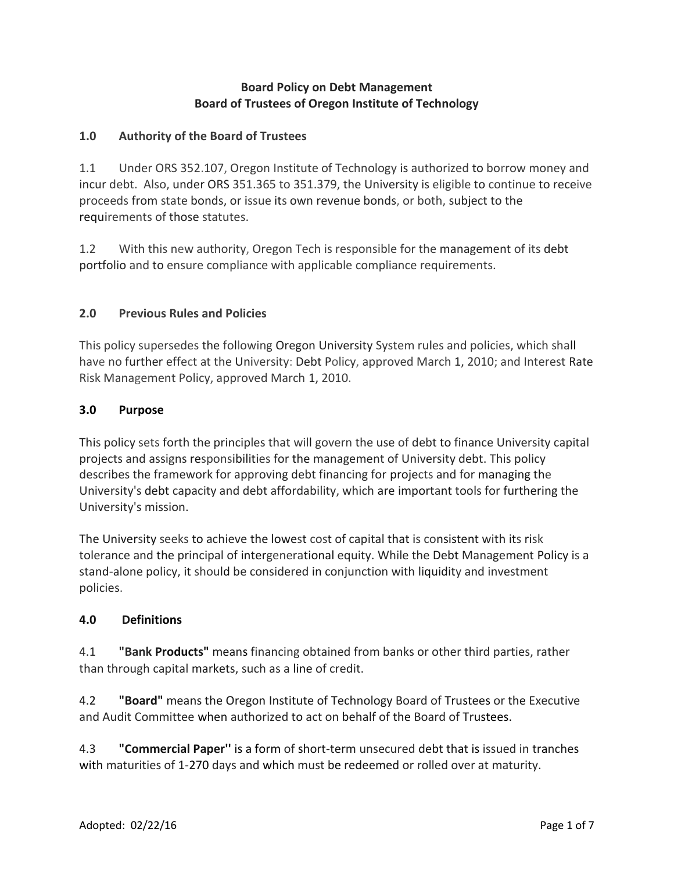## **Board Policy on Debt Management Board of Trustees of Oregon Institute of Technology**

### **1.0 Authority of the Board of Trustees**

1.1 Under ORS 352.107, Oregon Institute of Technology is authorized to borrow money and incur debt. Also, under ORS 351.365 to 351.379, the University is eligible to continue to receive proceeds from state bonds, or issue its own revenue bonds, or both, subject to the requirements of those statutes.

1.2 With this new authority, Oregon Tech is responsible for the management of its debt portfolio and to ensure compliance with applicable compliance requirements.

### **2.0 Previous Rules and Policies**

This policy supersedes the following Oregon University System rules and policies, which shall have no further effect at the University: Debt Policy, approved March 1, 2010; and Interest Rate Risk Management Policy, approved March 1, 2010.

#### **3.0 Purpose**

This policy sets forth the principles that will govern the use of debt to finance University capital projects and assigns responsibilities for the management of University debt. This policy describes the framework for approving debt financing for projects and for managing the University's debt capacity and debt affordability, which are important tools for furthering the University's mission.

The University seeks to achieve the lowest cost of capital that is consistent with its risk tolerance and the principal of intergenerational equity. While the Debt Management Policy is a stand-alone policy, it should be considered in conjunction with liquidity and investment policies.

#### **4.0 Definitions**

4.1 **"Bank Products"** means financing obtained from banks or other third parties, rather than through capital markets, such as a line of credit.

4.2 **"Board"** means the Oregon Institute of Technology Board of Trustees or the Executive and Audit Committee when authorized to act on behalf of the Board of Trustees.

4.3 **"Commercial Paper''** is a form of short-term unsecured debt that is issued in tranches with maturities of 1-270 days and which must be redeemed or rolled over at maturity.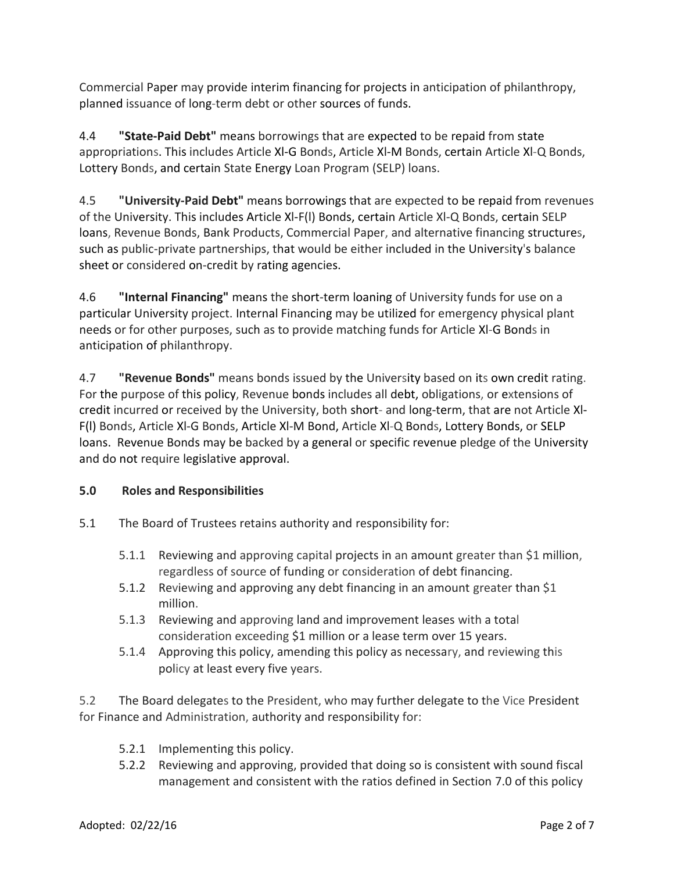Commercial Paper may provide interim financing for projects in anticipation of philanthropy, planned issuance of long-term debt or other sources of funds.

4.4 **"State-Paid Debt"** means borrowings that are expected to be repaid from state appropriations. This includes Article Xl-G Bonds, Article Xl-M Bonds, certain Article Xl-Q Bonds, Lottery Bonds, and certain State Energy Loan Program (SELP) loans.

4.5 **"University-Paid Debt"** means borrowings that are expected to be repaid from revenues of the University. This includes Article Xl-F(l) Bonds, certain Article Xl-Q Bonds, certain SELP loans, Revenue Bonds, Bank Products, Commercial Paper, and alternative financing structures, such as public-private partnerships, that would be either included in the University's balance sheet or considered on-credit by rating agencies.

4.6 **"Internal Financing"** means the short-term loaning of University funds for use on a particular University project. Internal Financing may be utilized for emergency physical plant needs or for other purposes, such as to provide matching funds for Article Xl-G Bonds in anticipation of philanthropy.

4.7 **"Revenue Bonds"** means bonds issued by the University based on its own credit rating. For the purpose of this policy, Revenue bonds includes all debt, obligations, or extensions of credit incurred or received by the University, both short- and long-term, that are not Article Xl-F(l) Bonds, Article Xl-G Bonds, Article Xl-M Bond, Article Xl-Q Bonds, Lottery Bonds, or SELP loans. Revenue Bonds may be backed by a general or specific revenue pledge of the University and do not require legislative approval.

# **5.0 Roles and Responsibilities**

- 5.1 The Board of Trustees retains authority and responsibility for:
	- 5.1.1 Reviewing and approving capital projects in an amount greater than \$1 million, regardless of source of funding or consideration of debt financing.
	- 5.1.2 Reviewing and approving any debt financing in an amount greater than \$1 million.
	- 5.1.3 Reviewing and approving land and improvement leases with a total consideration exceeding \$1 million or a lease term over 15 years.
	- 5.1.4 Approving this policy, amending this policy as necessary, and reviewing this policy at least every five years.

5.2 The Board delegates to the President, who may further delegate to the Vice President for Finance and Administration, authority and responsibility for:

- 5.2.1 Implementing this policy.
- 5.2.2 Reviewing and approving, provided that doing so is consistent with sound fiscal management and consistent with the ratios defined in Section 7.0 of this policy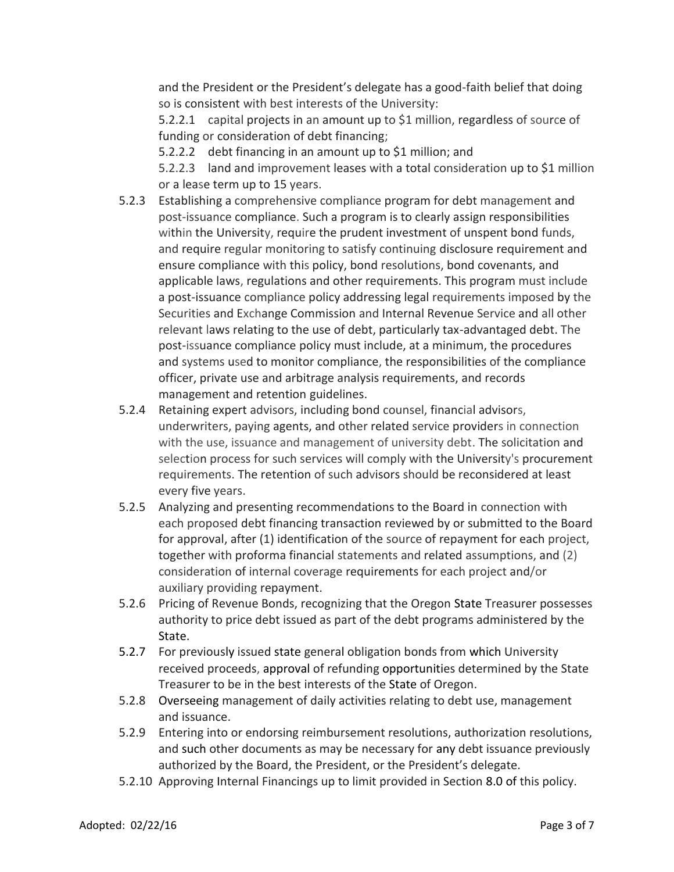and the President or the President's delegate has a good-faith belief that doing so is consistent with best interests of the University:

5.2.2.1 capital projects in an amount up to \$1 million, regardless of source of funding or consideration of debt financing;

5.2.2.2 debt financing in an amount up to \$1 million; and

5.2.2.3 land and improvement leases with a total consideration up to \$1 million or a lease term up to 15 years.

- 5.2.3 Establishing a comprehensive compliance program for debt management and post-issuance compliance. Such a program is to clearly assign responsibilities within the University, require the prudent investment of unspent bond funds, and require regular monitoring to satisfy continuing disclosure requirement and ensure compliance with this policy, bond resolutions, bond covenants, and applicable laws, regulations and other requirements. This program must include a post-issuance compliance policy addressing legal requirements imposed by the Securities and Exchange Commission and Internal Revenue Service and all other relevant laws relating to the use of debt, particularly tax-advantaged debt. The post-issuance compliance policy must include, at a minimum, the procedures and systems used to monitor compliance, the responsibilities of the compliance officer, private use and arbitrage analysis requirements, and records management and retention guidelines.
- 5.2.4 Retaining expert advisors, including bond counsel, financial advisors, underwriters, paying agents, and other related service providers in connection with the use, issuance and management of university debt. The solicitation and selection process for such services will comply with the University's procurement requirements. The retention of such advisors should be reconsidered at least every five years.
- 5.2.5 Analyzing and presenting recommendations to the Board in connection with each proposed debt financing transaction reviewed by or submitted to the Board for approval, after (1) identification of the source of repayment for each project, together with proforma financial statements and related assumptions, and (2) consideration of internal coverage requirements for each project and/or auxiliary providing repayment.
- 5.2.6 Pricing of Revenue Bonds, recognizing that the Oregon State Treasurer possesses authority to price debt issued as part of the debt programs administered by the State.
- 5.2.7 For previously issued state general obligation bonds from which University received proceeds, approval of refunding opportunities determined by the State Treasurer to be in the best interests of the State of Oregon.
- 5.2.8 Overseeing management of daily activities relating to debt use, management and issuance.
- 5.2.9 Entering into or endorsing reimbursement resolutions, authorization resolutions, and such other documents as may be necessary for any debt issuance previously authorized by the Board, the President, or the President's delegate.
- 5.2.10 Approving Internal Financings up to limit provided in Section 8.0 of this policy.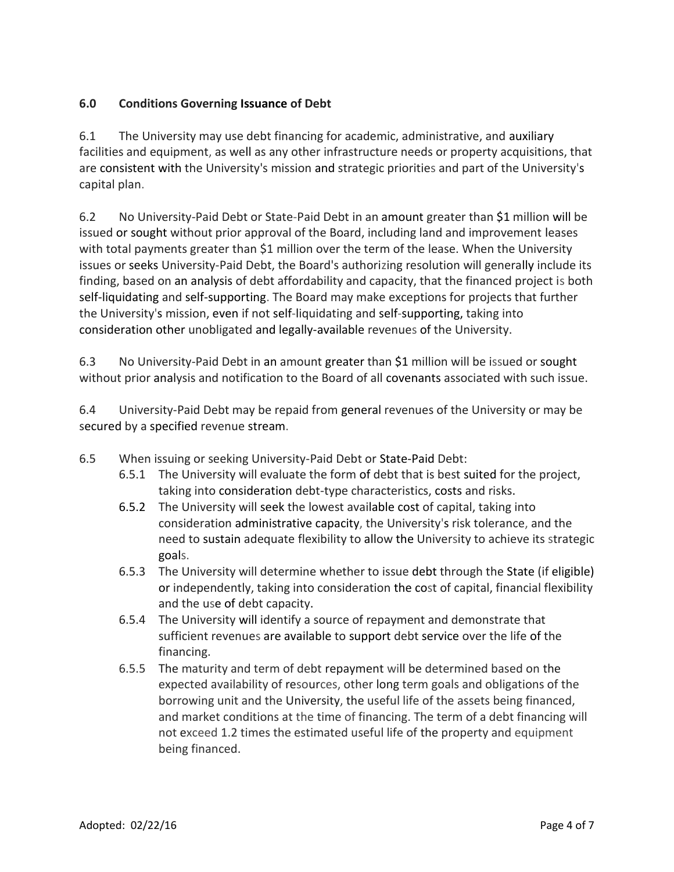# **6.0 Conditions Governing Issuance of Debt**

6.1 The University may use debt financing for academic, administrative, and auxiliary facilities and equipment, as well as any other infrastructure needs or property acquisitions, that are consistent with the University's mission and strategic priorities and part of the University's capital plan.

6.2 No University-Paid Debt or State-Paid Debt in an amount greater than \$1 million will be issued or sought without prior approval of the Board, including land and improvement leases with total payments greater than \$1 million over the term of the lease. When the University issues or seeks University-Paid Debt, the Board's authorizing resolution will generally include its finding, based on an analysis of debt affordability and capacity, that the financed project is both self-liquidating and self-supporting. The Board may make exceptions for projects that further the University's mission, even if not self-liquidating and self-supporting, taking into consideration other unobligated and legally-available revenues of the University.

6.3 No University-Paid Debt in an amount greater than \$1 million will be issued or sought without prior analysis and notification to the Board of all covenants associated with such issue.

6.4 University-Paid Debt may be repaid from general revenues of the University or may be secured by a specified revenue stream.

- 6.5 When issuing or seeking University-Paid Debt or State-Paid Debt:
	- 6.5.1 The University will evaluate the form of debt that is best suited for the project, taking into consideration debt-type characteristics, costs and risks.
	- 6.5.2 The University will seek the lowest available cost of capital, taking into consideration administrative capacity, the University's risk tolerance, and the need to sustain adequate flexibility to allow the University to achieve its strategic goals.
	- 6.5.3 The University will determine whether to issue debt through the State (if eligible) or independently, taking into consideration the cost of capital, financial flexibility and the use of debt capacity.
	- 6.5.4 The University will identify a source of repayment and demonstrate that sufficient revenues are available to support debt service over the life of the financing.
	- 6.5.5 The maturity and term of debt repayment will be determined based on the expected availability of resources, other long term goals and obligations of the borrowing unit and the University, the useful life of the assets being financed, and market conditions at the time of financing. The term of a debt financing will not exceed 1.2 times the estimated useful life of the property and equipment being financed.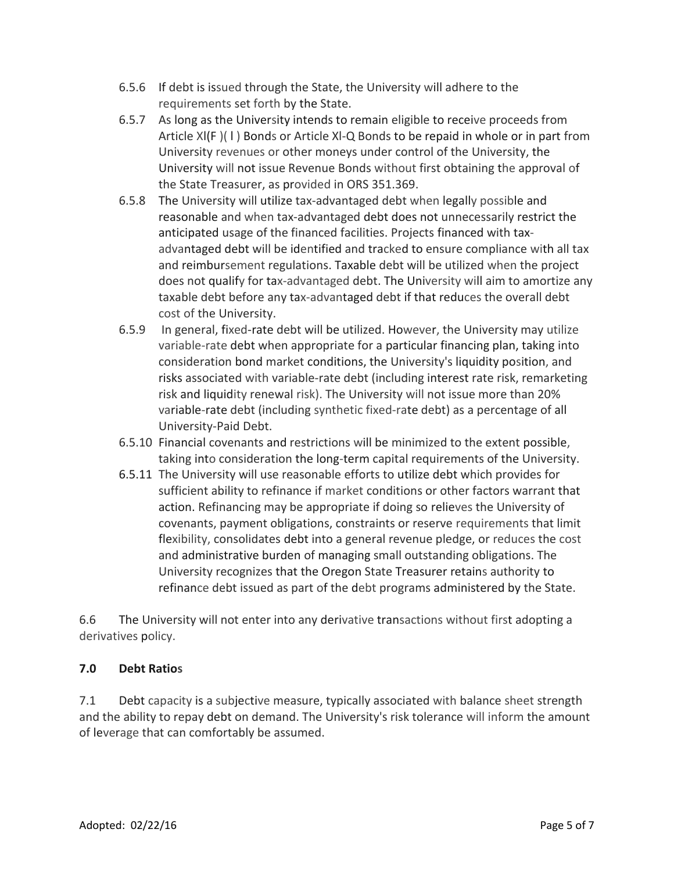- 6.5.6 If debt is issued through the State, the University will adhere to the requirements set forth by the State.
- 6.5.7 As long as the University intends to remain eligible to receive proceeds from Article Xl(F )( l ) Bonds or Article Xl-Q Bonds to be repaid in whole or in part from University revenues or other moneys under control of the University, the University will not issue Revenue Bonds without first obtaining the approval of the State Treasurer, as provided in ORS 351.369.
- 6.5.8 The University will utilize tax-advantaged debt when legally possible and reasonable and when tax-advantaged debt does not unnecessarily restrict the anticipated usage of the financed facilities. Projects financed with taxadvantaged debt will be identified and tracked to ensure compliance with all tax and reimbursement regulations. Taxable debt will be utilized when the project does not qualify for tax-advantaged debt. The University will aim to amortize any taxable debt before any tax-advantaged debt if that reduces the overall debt cost of the University.
- 6.5.9 In general, fixed-rate debt will be utilized. However, the University may utilize variable-rate debt when appropriate for a particular financing plan, taking into consideration bond market conditions, the University's liquidity position, and risks associated with variable-rate debt (including interest rate risk, remarketing risk and liquidity renewal risk). The University will not issue more than 20% variable-rate debt (including synthetic fixed-rate debt) as a percentage of all University-Paid Debt.
- 6.5.10 Financial covenants and restrictions will be minimized to the extent possible, taking into consideration the long-term capital requirements of the University.
- 6.5.11 The University will use reasonable efforts to utilize debt which provides for sufficient ability to refinance if market conditions or other factors warrant that action. Refinancing may be appropriate if doing so relieves the University of covenants, payment obligations, constraints or reserve requirements that limit flexibility, consolidates debt into a general revenue pledge, or reduces the cost and administrative burden of managing small outstanding obligations. The University recognizes that the Oregon State Treasurer retains authority to refinance debt issued as part of the debt programs administered by the State.

6.6 The University will not enter into any derivative transactions without first adopting a derivatives policy.

## **7.0 Debt Ratios**

7.1 Debt capacity is a subjective measure, typically associated with balance sheet strength and the ability to repay debt on demand. The University's risk tolerance will inform the amount of leverage that can comfortably be assumed.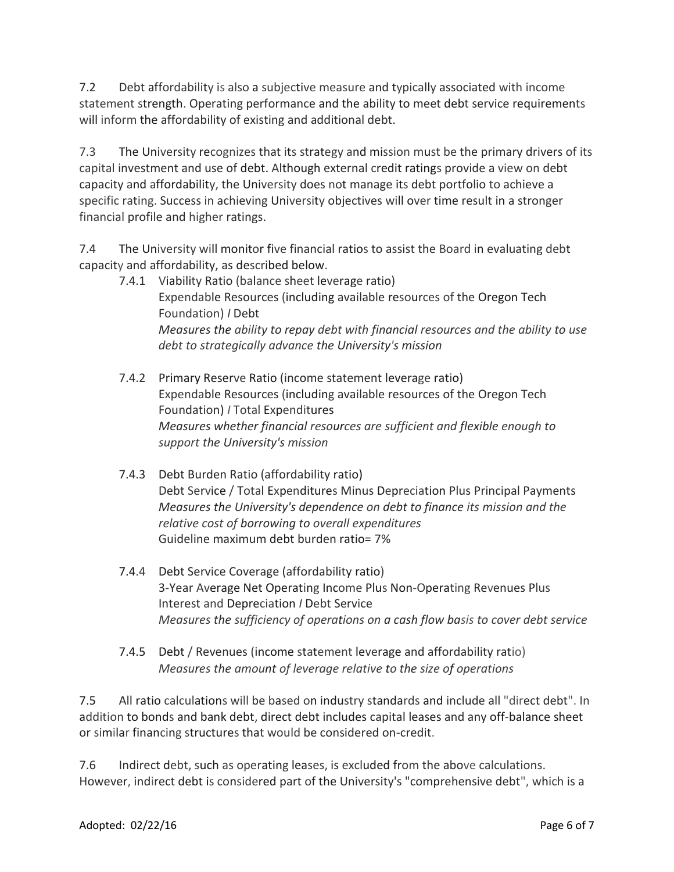7.2 Debt affordability is also a subjective measure and typically associated with income statement strength. Operating performance and the ability to meet debt service requirements will inform the affordability of existing and additional debt.

7.3 The University recognizes that its strategy and mission must be the primary drivers of its capital investment and use of debt. Although external credit ratings provide a view on debt capacity and affordability, the University does not manage its debt portfolio to achieve a specific rating. Success in achieving University objectives will over time result in a stronger financial profile and higher ratings.

7.4 The University will monitor five financial ratios to assist the Board in evaluating debt capacity and affordability, as described below.

- 7.4.1 Viability Ratio (balance sheet leverage ratio) Expendable Resources (including available resources of the Oregon Tech Foundation) *I* Debt *Measures the ability to repay debt with financial resources and the ability to use debt to strategically advance the University's mission*
- 7.4.2 Primary Reserve Ratio (income statement leverage ratio) Expendable Resources (including available resources of the Oregon Tech Foundation) *I* Total Expenditures *Measures whether financial resources are sufficient and flexible enough to support the University's mission*
- 7.4.3 Debt Burden Ratio (affordability ratio) Debt Service / Total Expenditures Minus Depreciation Plus Principal Payments *Measures the University's dependence on debt to finance its mission and the relative cost of borrowing to overall expenditures* Guideline maximum debt burden ratio= 7%
- 7.4.4 Debt Service Coverage (affordability ratio) 3-Year Average Net Operating Income Plus Non-Operating Revenues Plus Interest and Depreciation *I* Debt Service *Measures the sufficiency of operations on a cash flow basis to cover debt service*
- 7.4.5 Debt / Revenues (income statement leverage and affordability ratio) *Measures the amount of leverage relative to the size of operations*

7.5 All ratio calculations will be based on industry standards and include all "direct debt". In addition to bonds and bank debt, direct debt includes capital leases and any off-balance sheet or similar financing structures that would be considered on-credit.

7.6 Indirect debt, such as operating leases, is excluded from the above calculations. However, indirect debt is considered part of the University's "comprehensive debt", which is a